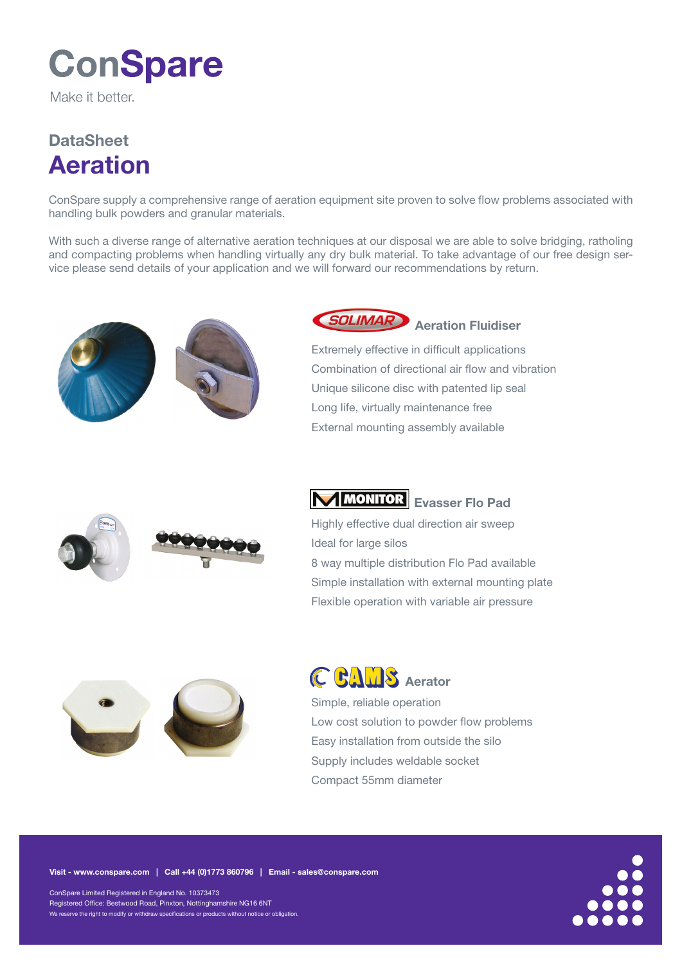# **ConSpare**

Make it hetter

## **DataSheet** Aeration

ConSpare supply a comprehensive range of aeration equipment site proven to solve flow problems associated with handling bulk powders and granular materials.

With such a diverse range of alternative aeration techniques at our disposal we are able to solve bridging, ratholing and compacting problems when handling virtually any dry bulk material. To take advantage of our free design service please send details of your application and we will forward our recommendations by return.









Extremely effective in difficult applications Combination of directional air flow and vibration Unique silicone disc with patented lip seal Long life, virtually maintenance free External mounting assembly available

### MMONITOR Evasser Flo Pad

Highly effective dual direction air sweep Ideal for large silos 8 way multiple distribution Flo Pad available Simple installation with external mounting plate Flexible operation with variable air pressure





Simple, reliable operation Low cost solution to powder flow problems Easy installation from outside the silo Supply includes weldable socket Compact 55mm diameter